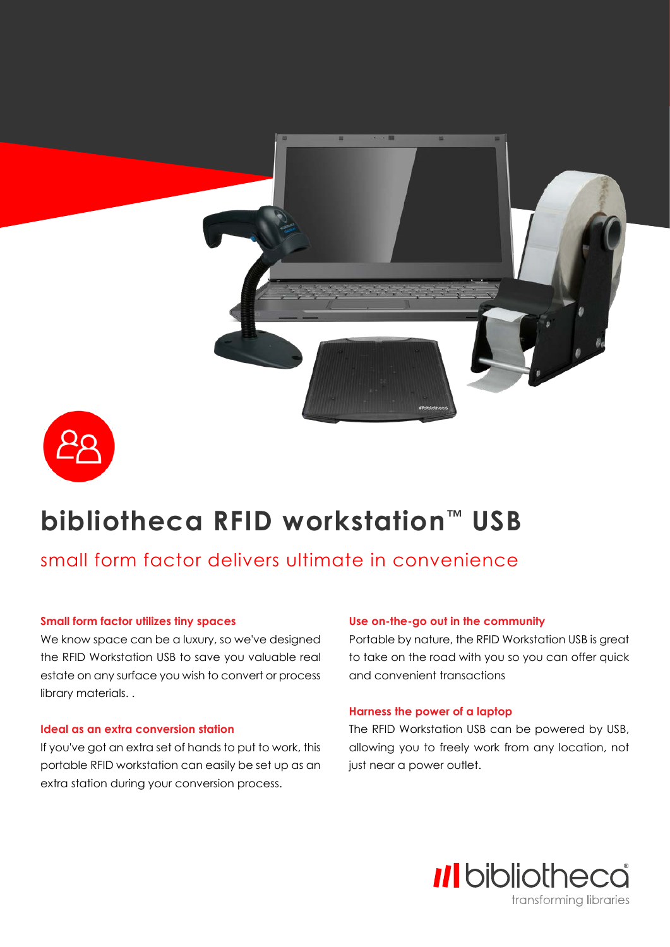



# **bibliotheca RFID workstation™ USB**

## small form factor delivers ultimate in convenience

#### **Small form factor utilizes tiny spaces**

We know space can be a luxury, so we've designed the RFID Workstation USB to save you valuable real estate on any surface you wish to convert or process library materials. .

#### **Ideal as an extra conversion station**

If you've got an extra set of hands to put to work, this portable RFID workstation can easily be set up as an extra station during your conversion process.

#### **Use on-the-go out in the community**

Portable by nature, the RFID Workstation USB is great to take on the road with you so you can offer quick and convenient transactions

#### **Harness the power of a laptop**

The RFID Workstation USB can be powered by USB, allowing you to freely work from any location, not just near a power outlet.